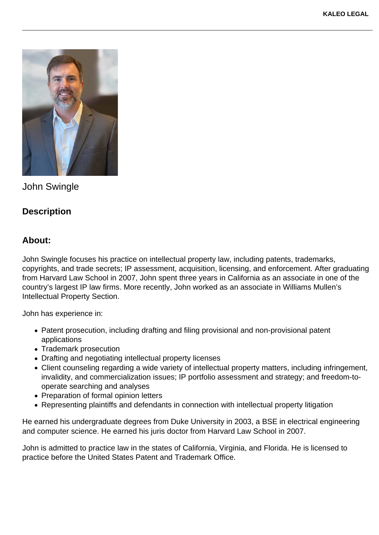

John Swingle

## **Description**

## **About:**

John Swingle focuses his practice on intellectual property law, including patents, trademarks, copyrights, and trade secrets; IP assessment, acquisition, licensing, and enforcement. After graduating from Harvard Law School in 2007, John spent three years in California as an associate in one of the country's largest IP law firms. More recently, John worked as an associate in Williams Mullen's Intellectual Property Section.

John has experience in:

- Patent prosecution, including drafting and filing provisional and non-provisional patent applications
- Trademark prosecution
- Drafting and negotiating intellectual property licenses
- Client counseling regarding a wide variety of intellectual property matters, including infringement, invalidity, and commercialization issues; IP portfolio assessment and strategy; and freedom-tooperate searching and analyses
- Preparation of formal opinion letters
- Representing plaintiffs and defendants in connection with intellectual property litigation

He earned his undergraduate degrees from Duke University in 2003, a BSE in electrical engineering and computer science. He earned his juris doctor from Harvard Law School in 2007.

John is admitted to practice law in the states of California, Virginia, and Florida. He is licensed to practice before the United States Patent and Trademark Office.